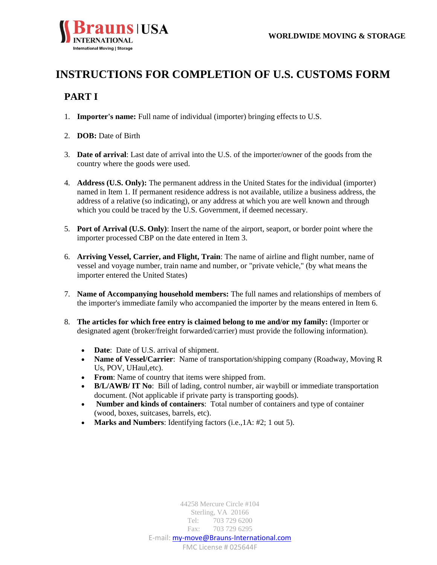

# **INSTRUCTIONS FOR COMPLETION OF U.S. CUSTOMS FORM**

## **PART I**

- 1. **Importer's name:** Full name of individual (importer) bringing effects to U.S.
- 2. **DOB:** Date of Birth
- 3. **Date of arrival**: Last date of arrival into the U.S. of the importer/owner of the goods from the country where the goods were used.
- 4. **Address (U.S. Only):** The permanent address in the United States for the individual (importer) named in Item 1. If permanent residence address is not available, utilize a business address, the address of a relative (so indicating), or any address at which you are well known and through which you could be traced by the U.S. Government, if deemed necessary.
- 5. **Port of Arrival (U.S. Only)**: Insert the name of the airport, seaport, or border point where the importer processed CBP on the date entered in Item 3.
- 6. **Arriving Vessel, Carrier, and Flight, Train**: The name of airline and flight number, name of vessel and voyage number, train name and number, or "private vehicle," (by what means the importer entered the United States)
- 7. **Name of Accompanying household members:** The full names and relationships of members of the importer's immediate family who accompanied the importer by the means entered in Item 6.
- 8. **The articles for which free entry is claimed belong to me and/or my family:** (Importer or designated agent (broker/freight forwarded/carrier) must provide the following information).
	- **Date**: Date of U.S. arrival of shipment.
	- **Name of Vessel/Carrier**: Name of transportation/shipping company (Roadway, Moving R) Us, POV, UHaul,etc).
	- **From**: Name of country that items were shipped from.
	- **B/L/AWB/ IT No**: Bill of lading, control number, air waybill or immediate transportation document. (Not applicable if private party is transporting goods).
	- **Number and kinds of containers**: Total number of containers and type of container (wood, boxes, suitcases, barrels, etc).
	- **Marks and Numbers**: Identifying factors (i.e.,1A: #2; 1 out 5).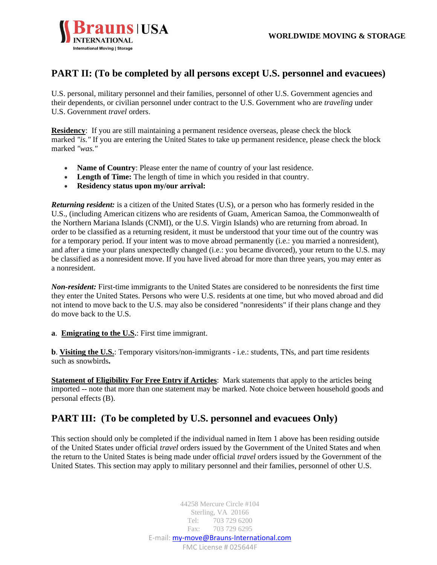

### **PART II: (To be completed by all persons except U.S. personnel and evacuees)**

U.S. personal, military personnel and their families, personnel of other U.S. Government agencies and their dependents, or civilian personnel under contract to the U.S. Government who are *traveling* under U.S. Government *travel* orders.

**Residency**: If you are still maintaining a permanent residence overseas, please check the block marked *"is."* If you are entering the United States to take up permanent residence, please check the block marked *"was."*

- **Name of Country:** Please enter the name of country of your last residence.
- **Length of Time:** The length of time in which you resided in that country.
- **Residency status upon my/our arrival:**

*Returning resident:* is a citizen of the United States (U.S), or a person who has formerly resided in the U.S., (including American citizens who are residents of Guam, American Samoa, the Commonwealth of the Northern Mariana Islands (CNMI), or the U.S. Virgin Islands) who are returning from abroad. In order to be classified as a returning resident, it must be understood that your time out of the country was for a temporary period. If your intent was to move abroad permanently (i.e.: you married a nonresident), and after a time your plans unexpectedly changed (i.e.: you became divorced), your return to the U.S. may be classified as a nonresident move. If you have lived abroad for more than three years, you may enter as a nonresident.

*Non-resident:* First-time immigrants to the United States are considered to be nonresidents the first time they enter the United States. Persons who were U.S. residents at one time, but who moved abroad and did not intend to move back to the U.S. may also be considered "nonresidents" if their plans change and they do move back to the U.S.

#### **a**. **Emigrating to the U.S.**: First time immigrant.

**b**. **Visiting the U.S.**: Temporary visitors/non-immigrants - i.e.: students, TNs, and part time residents such as snowbirds**.**

**Statement of Eligibility For Free Entry if Articles**: Mark statements that apply to the articles being imported -- note that more than one statement may be marked. Note choice between household goods and personal effects (B).

### **PART III: (To be completed by U.S. personnel and evacuees Only)**

This section should only be completed if the individual named in Item 1 above has been residing outside of the United States under official *travel* orders issued by the Government of the United States and when the return to the United States is being made under official *travel* orders issued by the Government of the United States. This section may apply to military personnel and their families, personnel of other U.S.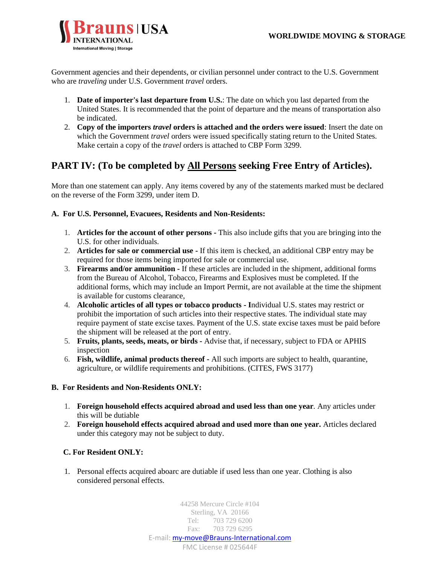

Government agencies and their dependents, or civilian personnel under contract to the U.S. Government who are *traveling* under U.S. Government *travel* orders.

- 1. **Date of importer's last departure from U.S.**: The date on which you last departed from the United States. It is recommended that the point of departure and the means of transportation also be indicated.
- 2. **Copy of the importers** *travel* **orders is attached and the orders were issued**: Insert the date on which the Government *travel* orders were issued specifically stating return to the United States. Make certain a copy of the *travel* orders is attached to CBP Form 3299.

### **PART IV: (To be completed by All Persons seeking Free Entry of Articles).**

More than one statement can apply. Any items covered by any of the statements marked must be declared on the reverse of the Form 3299, under item D.

#### **A. For U.S. Personnel, Evacuees, Residents and Non-Residents:**

- 1. **Articles for the account of other persons -** This also include gifts that you are bringing into the U.S. for other individuals.
- 2. **Articles for sale or commercial use -** If this item is checked, an additional CBP entry may be required for those items being imported for sale or commercial use.
- 3. **Firearms and/or ammunition -** If these articles are included in the shipment, additional forms from the Bureau of Alcohol, Tobacco, Firearms and Explosives must be completed. If the additional forms, which may include an Import Permit, are not available at the time the shipment is available for customs clearance,
- 4. **Alcoholic articles of all types or tobacco products - I**ndividual U.S. states may restrict or prohibit the importation of such articles into their respective states. The individual state may require payment of state excise taxes. Payment of the U.S. state excise taxes must be paid before the shipment will be released at the port of entry.
- 5. **Fruits, plants, seeds, meats, or birds -** Advise that, if necessary, subject to FDA or APHIS inspection
- 6. **Fish, wildlife, animal products thereof -** All such imports are subject to health, quarantine, agriculture, or wildlife requirements and prohibitions. (CITES, FWS 3177)

#### **B. For Residents and Non-Residents ONLY:**

- 1. **Foreign household effects acquired abroad and used less than one year***.* Any articles under this will be dutiable
- 2. **Foreign household effects acquired abroad and used more than one year.** Articles declared under this category may not be subject to duty.

#### **C. For Resident ONLY:**

1. Personal effects acquired aboarc are dutiable if used less than one year. Clothing is also considered personal effects.